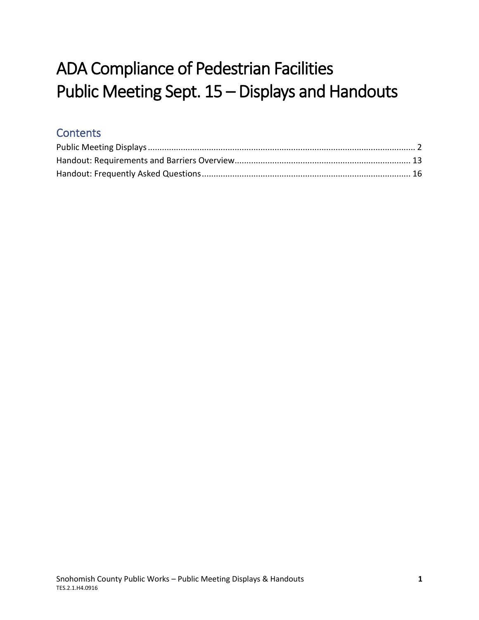# ADA Compliance of Pedestrian Facilities Public Meeting Sept. 15 – Displays and Handouts

### **Contents**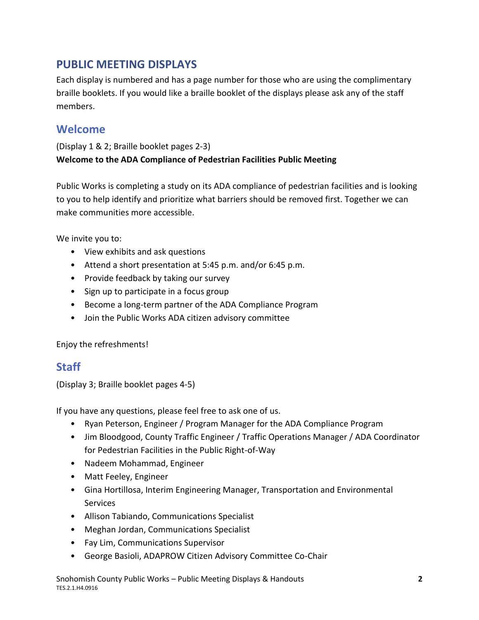### <span id="page-1-0"></span>**PUBLIC MEETING DISPLAYS**

Each display is numbered and has a page number for those who are using the complimentary braille booklets. If you would like a braille booklet of the displays please ask any of the staff members.

### **Welcome**

(Display 1 & 2; Braille booklet pages 2-3) **Welcome to the ADA Compliance of Pedestrian Facilities Public Meeting**

Public Works is completing a study on its ADA compliance of pedestrian facilities and is looking to you to help identify and prioritize what barriers should be removed first. Together we can make communities more accessible.

We invite you to:

- View exhibits and ask questions
- Attend a short presentation at 5:45 p.m. and/or 6:45 p.m.
- Provide feedback by taking our survey
- Sign up to participate in a focus group
- Become a long-term partner of the ADA Compliance Program
- Join the Public Works ADA citizen advisory committee

Enjoy the refreshments!

### **Staff**

(Display 3; Braille booklet pages 4-5)

If you have any questions, please feel free to ask one of us.

- Ryan Peterson, Engineer / Program Manager for the ADA Compliance Program
- Jim Bloodgood, County Traffic Engineer / Traffic Operations Manager / ADA Coordinator for Pedestrian Facilities in the Public Right-of-Way
- Nadeem Mohammad, Engineer
- Matt Feeley, Engineer
- Gina Hortillosa, Interim Engineering Manager, Transportation and Environmental **Services**
- Allison Tabiando, Communications Specialist
- Meghan Jordan, Communications Specialist
- Fay Lim, Communications Supervisor
- George Basioli, ADAPROW Citizen Advisory Committee Co-Chair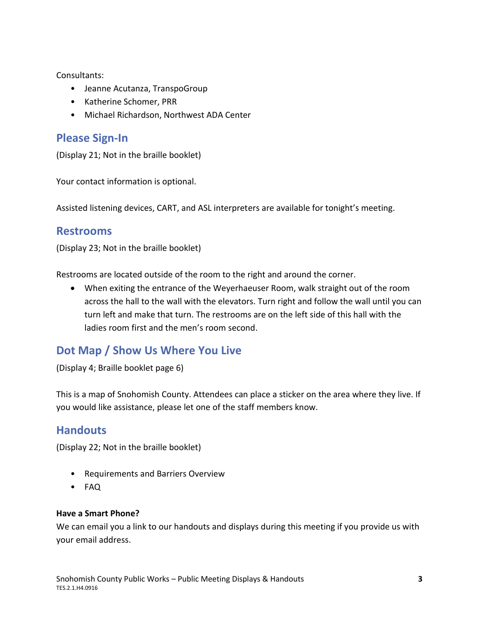Consultants:

- Jeanne Acutanza, TranspoGroup
- Katherine Schomer, PRR
- Michael Richardson, Northwest ADA Center

### **Please Sign-In**

(Display 21; Not in the braille booklet)

Your contact information is optional.

Assisted listening devices, CART, and ASL interpreters are available for tonight's meeting.

#### **Restrooms**

(Display 23; Not in the braille booklet)

Restrooms are located outside of the room to the right and around the corner.

 When exiting the entrance of the Weyerhaeuser Room, walk straight out of the room across the hall to the wall with the elevators. Turn right and follow the wall until you can turn left and make that turn. The restrooms are on the left side of this hall with the ladies room first and the men's room second.

### **Dot Map / Show Us Where You Live**

(Display 4; Braille booklet page 6)

This is a map of Snohomish County. Attendees can place a sticker on the area where they live. If you would like assistance, please let one of the staff members know.

### **Handouts**

(Display 22; Not in the braille booklet)

- Requirements and Barriers Overview
- FAQ

#### **Have a Smart Phone?**

We can email you a link to our handouts and displays during this meeting if you provide us with your email address.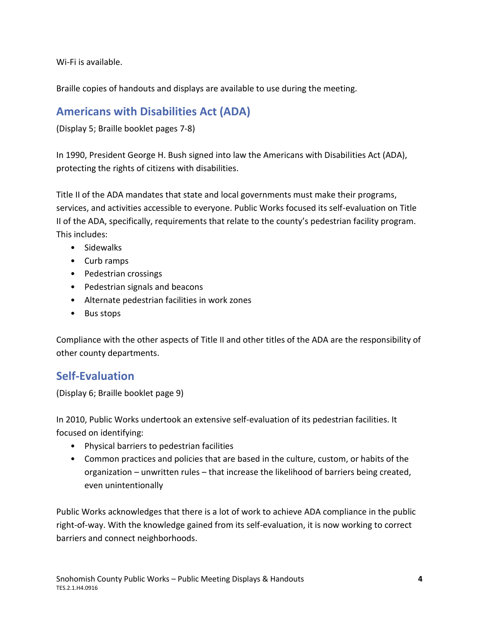Wi-Fi is available.

Braille copies of handouts and displays are available to use during the meeting.

### **Americans with Disabilities Act (ADA)**

(Display 5; Braille booklet pages 7-8)

In 1990, President George H. Bush signed into law the Americans with Disabilities Act (ADA), protecting the rights of citizens with disabilities.

Title II of the ADA mandates that state and local governments must make their programs, services, and activities accessible to everyone. Public Works focused its self-evaluation on Title II of the ADA, specifically, requirements that relate to the county's pedestrian facility program. This includes:

- Sidewalks
- Curb ramps
- Pedestrian crossings
- Pedestrian signals and beacons
- Alternate pedestrian facilities in work zones
- Bus stops

Compliance with the other aspects of Title II and other titles of the ADA are the responsibility of other county departments.

### **Self-Evaluation**

(Display 6; Braille booklet page 9)

In 2010, Public Works undertook an extensive self-evaluation of its pedestrian facilities. It focused on identifying:

- Physical barriers to pedestrian facilities
- Common practices and policies that are based in the culture, custom, or habits of the organization – unwritten rules – that increase the likelihood of barriers being created, even unintentionally

Public Works acknowledges that there is a lot of work to achieve ADA compliance in the public right-of-way. With the knowledge gained from its self-evaluation, it is now working to correct barriers and connect neighborhoods.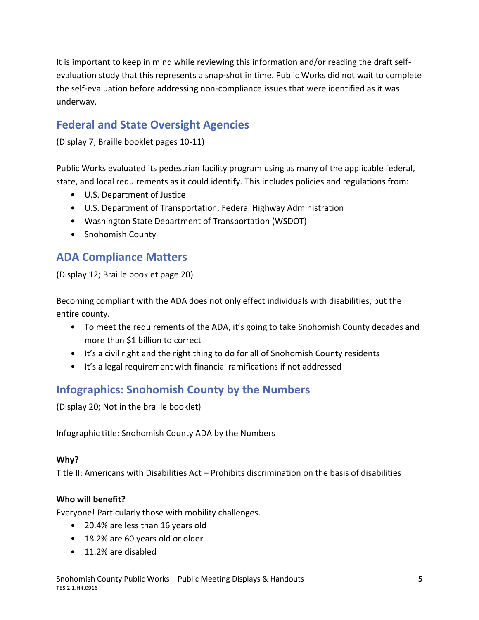It is important to keep in mind while reviewing this information and/or reading the draft selfevaluation study that this represents a snap-shot in time. Public Works did not wait to complete the self-evaluation before addressing non-compliance issues that were identified as it was underway.

### **Federal and State Oversight Agencies**

(Display 7; Braille booklet pages 10-11)

Public Works evaluated its pedestrian facility program using as many of the applicable federal, state, and local requirements as it could identify. This includes policies and regulations from:

- U.S. Department of Justice
- U.S. Department of Transportation, Federal Highway Administration
- Washington State Department of Transportation (WSDOT)
- Snohomish County

### **ADA Compliance Matters**

(Display 12; Braille booklet page 20)

Becoming compliant with the ADA does not only effect individuals with disabilities, but the entire county.

- To meet the requirements of the ADA, it's going to take Snohomish County decades and more than \$1 billion to correct
- It's a civil right and the right thing to do for all of Snohomish County residents
- It's a legal requirement with financial ramifications if not addressed

### **Infographics: Snohomish County by the Numbers**

(Display 20; Not in the braille booklet)

Infographic title: Snohomish County ADA by the Numbers

#### **Why?**

Title II: Americans with Disabilities Act – Prohibits discrimination on the basis of disabilities

#### **Who will benefit?**

Everyone! Particularly those with mobility challenges.

- 20.4% are less than 16 years old
- 18.2% are 60 years old or older
- 11.2% are disabled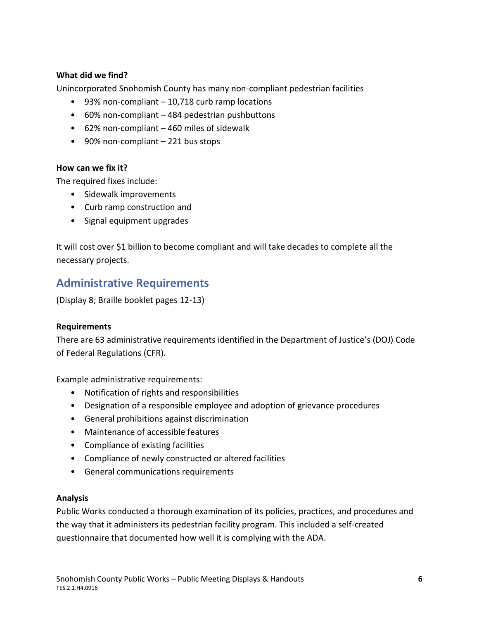#### **What did we find?**

Unincorporated Snohomish County has many non-compliant pedestrian facilities

- 93% non-compliant 10,718 curb ramp locations
- 60% non-compliant 484 pedestrian pushbuttons
- 62% non-compliant 460 miles of sidewalk
- 90% non-compliant 221 bus stops

#### **How can we fix it?**

The required fixes include:

- Sidewalk improvements
- Curb ramp construction and
- Signal equipment upgrades

It will cost over \$1 billion to become compliant and will take decades to complete all the necessary projects.

### **Administrative Requirements**

(Display 8; Braille booklet pages 12-13)

#### **Requirements**

There are 63 administrative requirements identified in the Department of Justice's (DOJ) Code of Federal Regulations (CFR).

Example administrative requirements:

- Notification of rights and responsibilities
- Designation of a responsible employee and adoption of grievance procedures
- General prohibitions against discrimination
- Maintenance of accessible features
- Compliance of existing facilities
- Compliance of newly constructed or altered facilities
- General communications requirements

#### **Analysis**

Public Works conducted a thorough examination of its policies, practices, and procedures and the way that it administers its pedestrian facility program. This included a self-created questionnaire that documented how well it is complying with the ADA.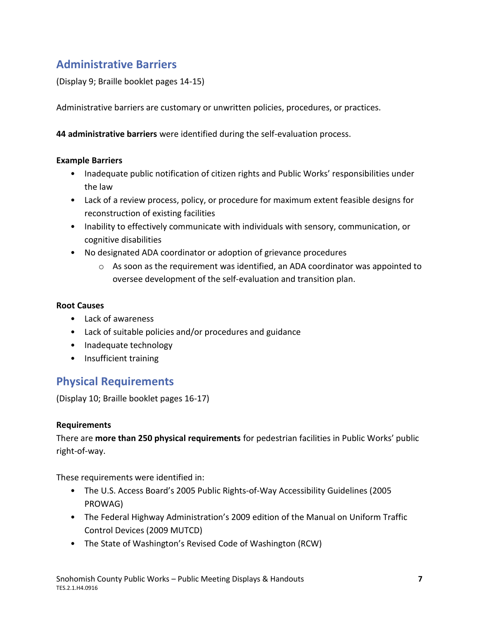### **Administrative Barriers**

(Display 9; Braille booklet pages 14-15)

Administrative barriers are customary or unwritten policies, procedures, or practices.

**44 administrative barriers** were identified during the self-evaluation process.

#### **Example Barriers**

- Inadequate public notification of citizen rights and Public Works' responsibilities under the law
- Lack of a review process, policy, or procedure for maximum extent feasible designs for reconstruction of existing facilities
- Inability to effectively communicate with individuals with sensory, communication, or cognitive disabilities
- No designated ADA coordinator or adoption of grievance procedures
	- $\circ$  As soon as the requirement was identified, an ADA coordinator was appointed to oversee development of the self-evaluation and transition plan.

#### **Root Causes**

- Lack of awareness
- Lack of suitable policies and/or procedures and guidance
- Inadequate technology
- Insufficient training

### **Physical Requirements**

(Display 10; Braille booklet pages 16-17)

#### **Requirements**

There are **more than 250 physical requirements** for pedestrian facilities in Public Works' public right-of-way.

These requirements were identified in:

- The U.S. Access Board's 2005 Public Rights-of-Way Accessibility Guidelines (2005 PROWAG)
- The Federal Highway Administration's 2009 edition of the Manual on Uniform Traffic Control Devices (2009 MUTCD)
- The State of Washington's Revised Code of Washington (RCW)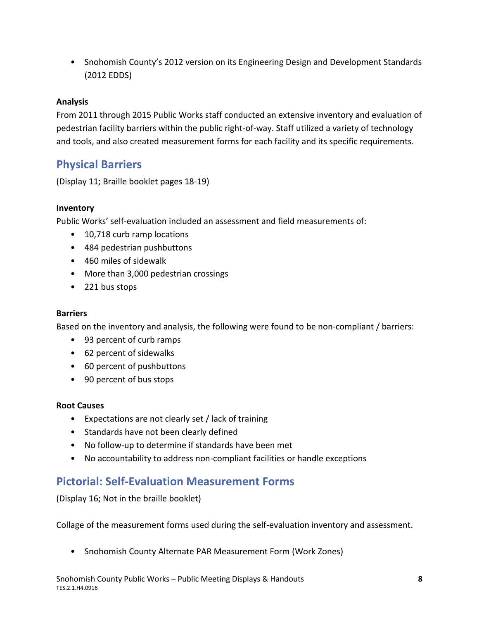• Snohomish County's 2012 version on its Engineering Design and Development Standards (2012 EDDS)

#### **Analysis**

From 2011 through 2015 Public Works staff conducted an extensive inventory and evaluation of pedestrian facility barriers within the public right-of-way. Staff utilized a variety of technology and tools, and also created measurement forms for each facility and its specific requirements.

### **Physical Barriers**

(Display 11; Braille booklet pages 18-19)

#### **Inventory**

Public Works' self-evaluation included an assessment and field measurements of:

- 10,718 curb ramp locations
- 484 pedestrian pushbuttons
- 460 miles of sidewalk
- More than 3,000 pedestrian crossings
- 221 bus stops

#### **Barriers**

Based on the inventory and analysis, the following were found to be non-compliant / barriers:

- 93 percent of curb ramps
- 62 percent of sidewalks
- 60 percent of pushbuttons
- 90 percent of bus stops

#### **Root Causes**

- Expectations are not clearly set / lack of training
- Standards have not been clearly defined
- No follow-up to determine if standards have been met
- No accountability to address non-compliant facilities or handle exceptions

#### **Pictorial: Self-Evaluation Measurement Forms**

(Display 16; Not in the braille booklet)

Collage of the measurement forms used during the self-evaluation inventory and assessment.

• Snohomish County Alternate PAR Measurement Form (Work Zones)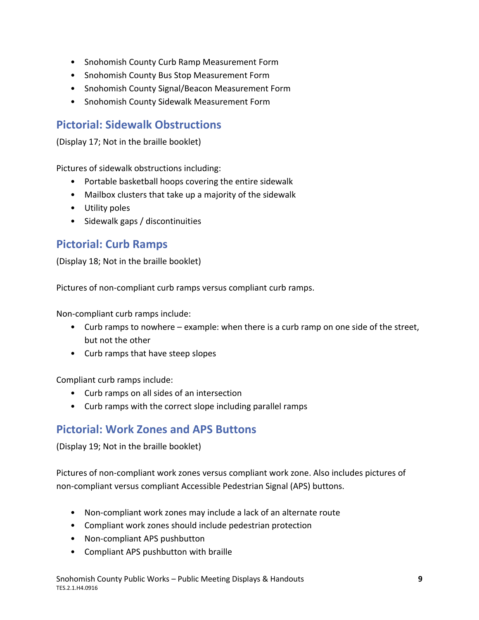- Snohomish County Curb Ramp Measurement Form
- Snohomish County Bus Stop Measurement Form
- Snohomish County Signal/Beacon Measurement Form
- Snohomish County Sidewalk Measurement Form

### **Pictorial: Sidewalk Obstructions**

(Display 17; Not in the braille booklet)

Pictures of sidewalk obstructions including:

- Portable basketball hoops covering the entire sidewalk
- Mailbox clusters that take up a majority of the sidewalk
- Utility poles
- Sidewalk gaps / discontinuities

#### **Pictorial: Curb Ramps**

(Display 18; Not in the braille booklet)

Pictures of non-compliant curb ramps versus compliant curb ramps.

Non-compliant curb ramps include:

- Curb ramps to nowhere example: when there is a curb ramp on one side of the street, but not the other
- Curb ramps that have steep slopes

Compliant curb ramps include:

- Curb ramps on all sides of an intersection
- Curb ramps with the correct slope including parallel ramps

### **Pictorial: Work Zones and APS Buttons**

(Display 19; Not in the braille booklet)

Pictures of non-compliant work zones versus compliant work zone. Also includes pictures of non-compliant versus compliant Accessible Pedestrian Signal (APS) buttons.

- Non-compliant work zones may include a lack of an alternate route
- Compliant work zones should include pedestrian protection
- Non-compliant APS pushbutton
- Compliant APS pushbutton with braille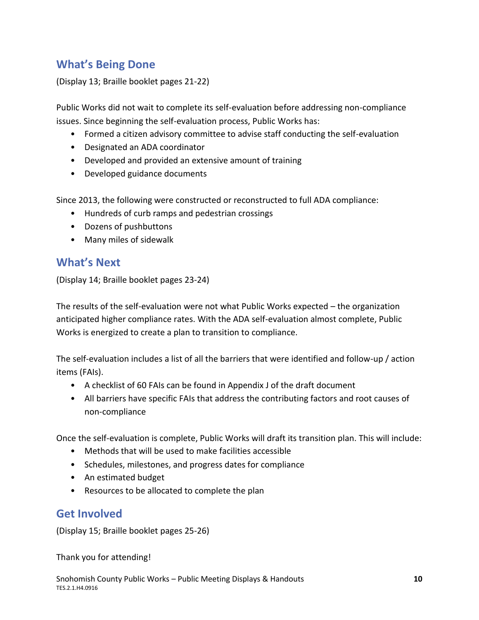### **What's Being Done**

(Display 13; Braille booklet pages 21-22)

Public Works did not wait to complete its self-evaluation before addressing non-compliance issues. Since beginning the self-evaluation process, Public Works has:

- Formed a citizen advisory committee to advise staff conducting the self-evaluation
- Designated an ADA coordinator
- Developed and provided an extensive amount of training
- Developed guidance documents

Since 2013, the following were constructed or reconstructed to full ADA compliance:

- Hundreds of curb ramps and pedestrian crossings
- Dozens of pushbuttons
- Many miles of sidewalk

#### **What's Next**

(Display 14; Braille booklet pages 23-24)

The results of the self-evaluation were not what Public Works expected – the organization anticipated higher compliance rates. With the ADA self-evaluation almost complete, Public Works is energized to create a plan to transition to compliance.

The self-evaluation includes a list of all the barriers that were identified and follow-up / action items (FAIs).

- A checklist of 60 FAIs can be found in Appendix J of the draft document
- All barriers have specific FAIs that address the contributing factors and root causes of non-compliance

Once the self-evaluation is complete, Public Works will draft its transition plan. This will include:

- Methods that will be used to make facilities accessible
- Schedules, milestones, and progress dates for compliance
- An estimated budget
- Resources to be allocated to complete the plan

#### **Get Involved**

(Display 15; Braille booklet pages 25-26)

Thank you for attending!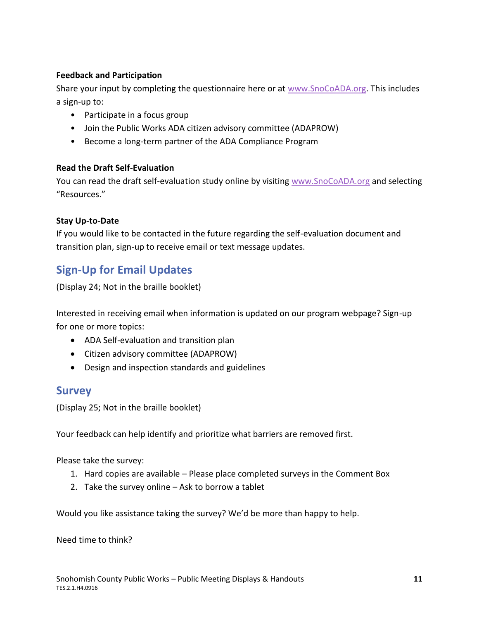#### **Feedback and Participation**

Share your input by completing the questionnaire here or at [www.SnoCoADA.org.](http://www.snocoada.org/) This includes a sign-up to:

- Participate in a focus group
- Join the Public Works ADA citizen advisory committee (ADAPROW)
- Become a long-term partner of the ADA Compliance Program

#### **Read the Draft Self-Evaluation**

You can read the draft self-evaluation study online by visiting [www.SnoCoADA.org](http://www.snocoada.org/) and selecting "Resources."

#### **Stay Up-to-Date**

If you would like to be contacted in the future regarding the self-evaluation document and transition plan, sign-up to receive email or text message updates.

### **Sign-Up for Email Updates**

(Display 24; Not in the braille booklet)

Interested in receiving email when information is updated on our program webpage? Sign-up for one or more topics:

- ADA Self-evaluation and transition plan
- Citizen advisory committee (ADAPROW)
- Design and inspection standards and guidelines

#### **Survey**

(Display 25; Not in the braille booklet)

Your feedback can help identify and prioritize what barriers are removed first.

Please take the survey:

- 1. Hard copies are available Please place completed surveys in the Comment Box
- 2. Take the survey online Ask to borrow a tablet

Would you like assistance taking the survey? We'd be more than happy to help.

Need time to think?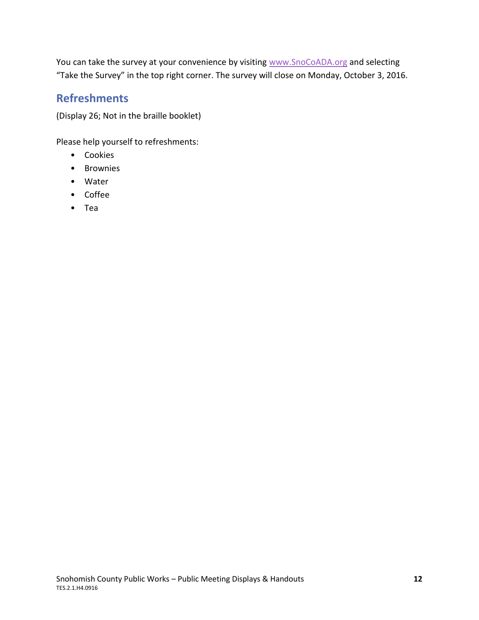You can take the survey at your convenience by visiting [www.SnoCoADA.org](http://www.snocoada.org/) and selecting "Take the Survey" in the top right corner. The survey will close on Monday, October 3, 2016.

### **Refreshments**

(Display 26; Not in the braille booklet)

Please help yourself to refreshments:

- Cookies
- Brownies
- Water
- Coffee
- Tea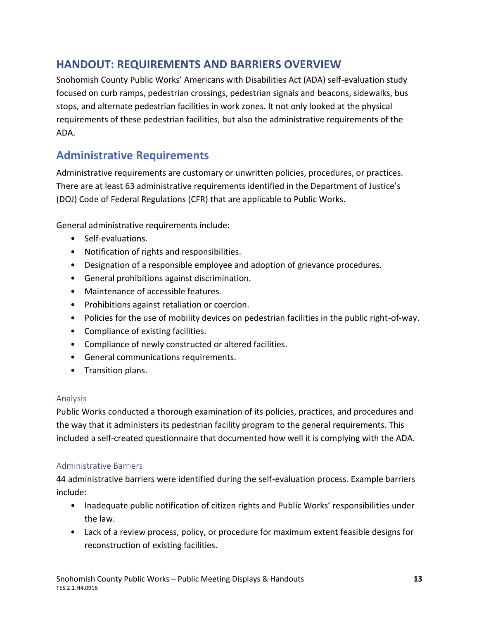### <span id="page-12-0"></span>**HANDOUT: REQUIREMENTS AND BARRIERS OVERVIEW**

Snohomish County Public Works' Americans with Disabilities Act (ADA) self-evaluation study focused on curb ramps, pedestrian crossings, pedestrian signals and beacons, sidewalks, bus stops, and alternate pedestrian facilities in work zones. It not only looked at the physical requirements of these pedestrian facilities, but also the administrative requirements of the ADA.

### **Administrative Requirements**

Administrative requirements are customary or unwritten policies, procedures, or practices. There are at least 63 administrative requirements identified in the Department of Justice's (DOJ) Code of Federal Regulations (CFR) that are applicable to Public Works.

General administrative requirements include:

- Self-evaluations.
- Notification of rights and responsibilities.
- Designation of a responsible employee and adoption of grievance procedures.
- General prohibitions against discrimination.
- Maintenance of accessible features.
- Prohibitions against retaliation or coercion.
- Policies for the use of mobility devices on pedestrian facilities in the public right-of-way.
- Compliance of existing facilities.
- Compliance of newly constructed or altered facilities.
- General communications requirements.
- Transition plans.

#### Analysis

Public Works conducted a thorough examination of its policies, practices, and procedures and the way that it administers its pedestrian facility program to the general requirements. This included a self-created questionnaire that documented how well it is complying with the ADA.

#### Administrative Barriers

44 administrative barriers were identified during the self-evaluation process. Example barriers include:

- Inadequate public notification of citizen rights and Public Works' responsibilities under the law.
- Lack of a review process, policy, or procedure for maximum extent feasible designs for reconstruction of existing facilities.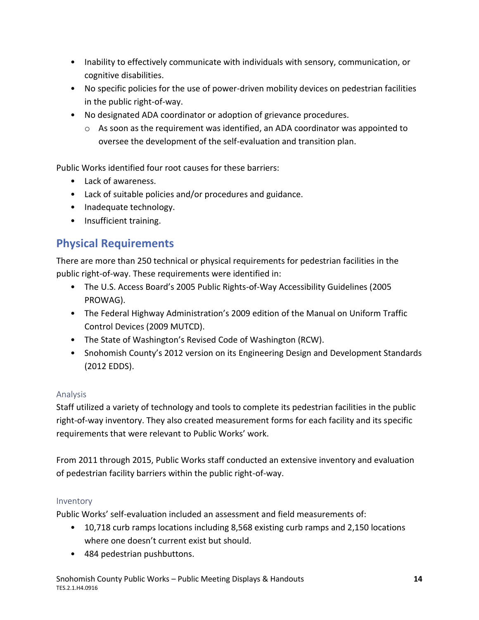- Inability to effectively communicate with individuals with sensory, communication, or cognitive disabilities.
- No specific policies for the use of power-driven mobility devices on pedestrian facilities in the public right-of-way.
- No designated ADA coordinator or adoption of grievance procedures.
	- o As soon as the requirement was identified, an ADA coordinator was appointed to oversee the development of the self-evaluation and transition plan.

Public Works identified four root causes for these barriers:

- Lack of awareness.
- Lack of suitable policies and/or procedures and guidance.
- Inadequate technology.
- Insufficient training.

### **Physical Requirements**

There are more than 250 technical or physical requirements for pedestrian facilities in the public right-of-way. These requirements were identified in:

- The U.S. Access Board's 2005 Public Rights-of-Way Accessibility Guidelines (2005 PROWAG).
- The Federal Highway Administration's 2009 edition of the Manual on Uniform Traffic Control Devices (2009 MUTCD).
- The State of Washington's Revised Code of Washington (RCW).
- Snohomish County's 2012 version on its Engineering Design and Development Standards (2012 EDDS).

#### Analysis

Staff utilized a variety of technology and tools to complete its pedestrian facilities in the public right-of-way inventory. They also created measurement forms for each facility and its specific requirements that were relevant to Public Works' work.

From 2011 through 2015, Public Works staff conducted an extensive inventory and evaluation of pedestrian facility barriers within the public right-of-way.

#### Inventory

Public Works' self-evaluation included an assessment and field measurements of:

- 10,718 curb ramps locations including 8,568 existing curb ramps and 2,150 locations where one doesn't current exist but should.
- 484 pedestrian pushbuttons.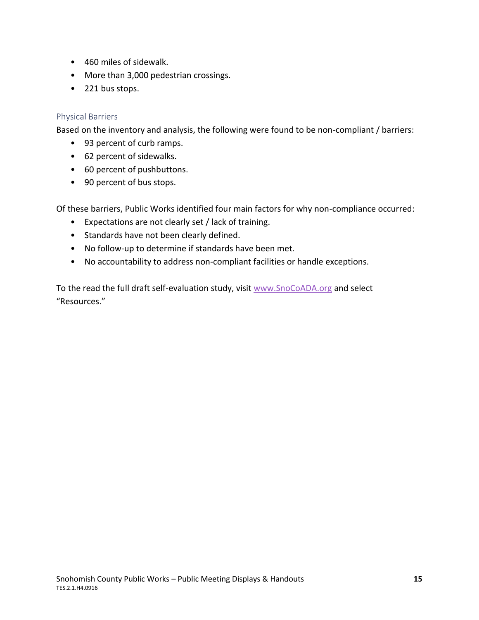- 460 miles of sidewalk.
- More than 3,000 pedestrian crossings.
- 221 bus stops.

#### Physical Barriers

Based on the inventory and analysis, the following were found to be non-compliant / barriers:

- 93 percent of curb ramps.
- 62 percent of sidewalks.
- 60 percent of pushbuttons.
- 90 percent of bus stops.

Of these barriers, Public Works identified four main factors for why non-compliance occurred:

- Expectations are not clearly set / lack of training.
- Standards have not been clearly defined.
- No follow-up to determine if standards have been met.
- No accountability to address non-compliant facilities or handle exceptions.

To the read the full draft self-evaluation study, visit [www.SnoCoADA.org](http://www.snocoada.org/) and select "Resources."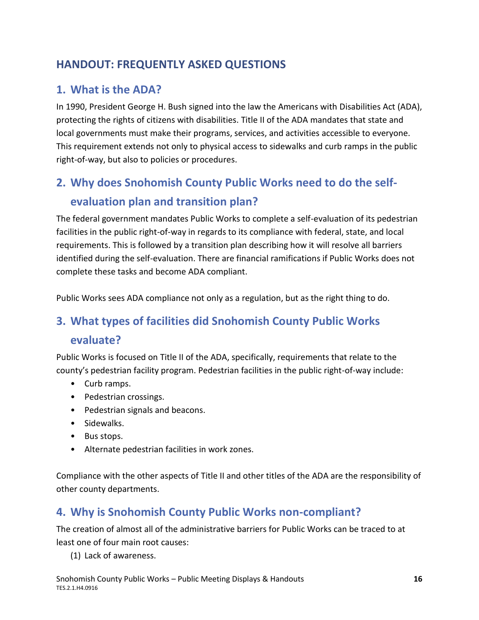### <span id="page-15-0"></span>**HANDOUT: FREQUENTLY ASKED QUESTIONS**

### **1. What is the ADA?**

In 1990, President George H. Bush signed into the law the Americans with Disabilities Act (ADA), protecting the rights of citizens with disabilities. Title II of the ADA mandates that state and local governments must make their programs, services, and activities accessible to everyone. This requirement extends not only to physical access to sidewalks and curb ramps in the public right-of-way, but also to policies or procedures.

# **2. Why does Snohomish County Public Works need to do the selfevaluation plan and transition plan?**

The federal government mandates Public Works to complete a self-evaluation of its pedestrian facilities in the public right-of-way in regards to its compliance with federal, state, and local requirements. This is followed by a transition plan describing how it will resolve all barriers identified during the self-evaluation. There are financial ramifications if Public Works does not complete these tasks and become ADA compliant.

Public Works sees ADA compliance not only as a regulation, but as the right thing to do.

# **3. What types of facilities did Snohomish County Public Works**

#### **evaluate?**

Public Works is focused on Title II of the ADA, specifically, requirements that relate to the county's pedestrian facility program. Pedestrian facilities in the public right-of-way include:

- Curb ramps.
- Pedestrian crossings.
- Pedestrian signals and beacons.
- Sidewalks.
- Bus stops.
- Alternate pedestrian facilities in work zones.

Compliance with the other aspects of Title II and other titles of the ADA are the responsibility of other county departments.

### **4. Why is Snohomish County Public Works non-compliant?**

The creation of almost all of the administrative barriers for Public Works can be traced to at least one of four main root causes:

(1) Lack of awareness.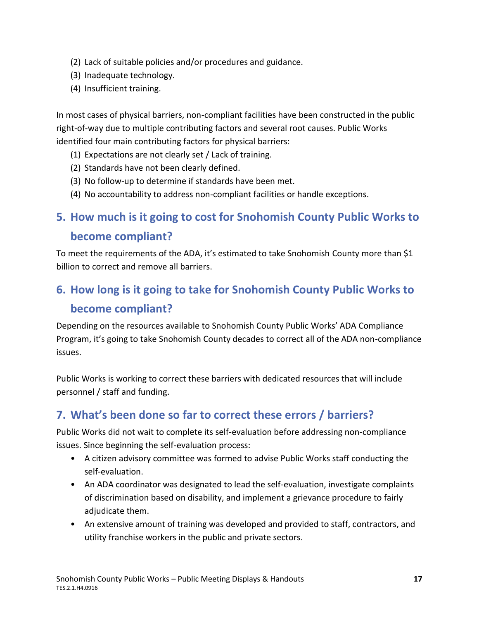- (2) Lack of suitable policies and/or procedures and guidance.
- (3) Inadequate technology.
- (4) Insufficient training.

In most cases of physical barriers, non-compliant facilities have been constructed in the public right-of-way due to multiple contributing factors and several root causes. Public Works identified four main contributing factors for physical barriers:

- (1) Expectations are not clearly set / Lack of training.
- (2) Standards have not been clearly defined.
- (3) No follow-up to determine if standards have been met.
- (4) No accountability to address non-compliant facilities or handle exceptions.

## **5. How much is it going to cost for Snohomish County Public Works to become compliant?**

To meet the requirements of the ADA, it's estimated to take Snohomish County more than \$1 billion to correct and remove all barriers.

# **6. How long is it going to take for Snohomish County Public Works to become compliant?**

Depending on the resources available to Snohomish County Public Works' ADA Compliance Program, it's going to take Snohomish County decades to correct all of the ADA non-compliance issues.

Public Works is working to correct these barriers with dedicated resources that will include personnel / staff and funding.

### **7. What's been done so far to correct these errors / barriers?**

Public Works did not wait to complete its self-evaluation before addressing non-compliance issues. Since beginning the self-evaluation process:

- A citizen advisory committee was formed to advise Public Works staff conducting the self-evaluation.
- An ADA coordinator was designated to lead the self-evaluation, investigate complaints of discrimination based on disability, and implement a grievance procedure to fairly adjudicate them.
- An extensive amount of training was developed and provided to staff, contractors, and utility franchise workers in the public and private sectors.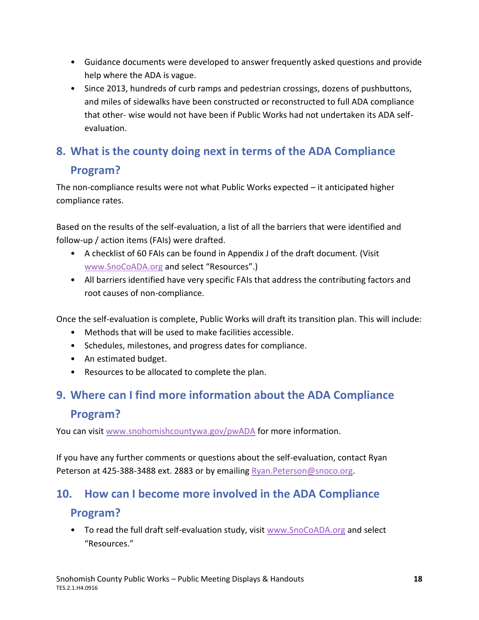- Guidance documents were developed to answer frequently asked questions and provide help where the ADA is vague.
- Since 2013, hundreds of curb ramps and pedestrian crossings, dozens of pushbuttons, and miles of sidewalks have been constructed or reconstructed to full ADA compliance that other- wise would not have been if Public Works had not undertaken its ADA selfevaluation.

# **8. What is the county doing next in terms of the ADA Compliance Program?**

The non-compliance results were not what Public Works expected – it anticipated higher compliance rates.

Based on the results of the self-evaluation, a list of all the barriers that were identified and follow-up / action items (FAIs) were drafted.

- A checklist of 60 FAIs can be found in Appendix J of the draft document. (Visit [www.SnoCoADA.org](http://www.snocoada.org/) and select "Resources".)
- All barriers identified have very specific FAIs that address the contributing factors and root causes of non-compliance.

Once the self-evaluation is complete, Public Works will draft its transition plan. This will include:

- Methods that will be used to make facilities accessible.
- Schedules, milestones, and progress dates for compliance.
- An estimated budget.
- Resources to be allocated to complete the plan.

# **9. Where can I find more information about the ADA Compliance Program?**

You can visit [www.snohomishcountywa.gov/pwADA](http://www.snohomishcountywa.gov/pwADA) for more information.

If you have any further comments or questions about the self-evaluation, contact Ryan Peterson at 425-388-3488 ext. 2883 or by emailing Ryan. Peterson@snoco.org.

#### **10. How can I become more involved in the ADA Compliance**

#### **Program?**

• To read the full draft self-evaluation study, visit [www.SnoCoADA.org](http://www.snocoada.org/) and select "Resources."